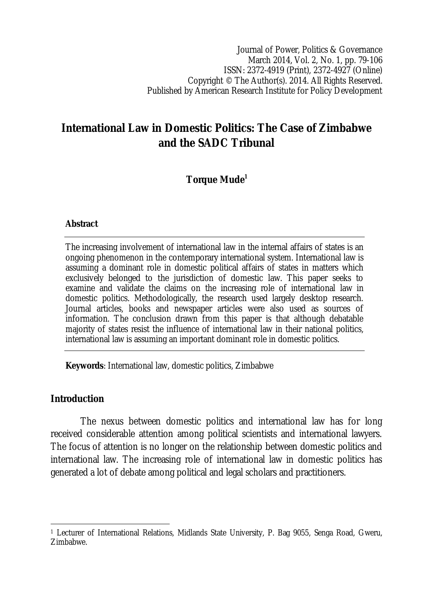Journal of Power, Politics & Governance March 2014, Vol. 2, No. 1, pp. 79-106 ISSN: 2372-4919 (Print), 2372-4927 (Online) Copyright © The Author(s). 2014. All Rights Reserved. Published by American Research Institute for Policy Development

# **International Law in Domestic Politics: The Case of Zimbabwe and the SADC Tribunal**

# **Torque Mude<sup>1</sup>**

#### **Abstract**

The increasing involvement of international law in the internal affairs of states is an ongoing phenomenon in the contemporary international system. International law is assuming a dominant role in domestic political affairs of states in matters which exclusively belonged to the jurisdiction of domestic law. This paper seeks to examine and validate the claims on the increasing role of international law in domestic politics. Methodologically, the research used largely desktop research. Journal articles, books and newspaper articles were also used as sources of information. The conclusion drawn from this paper is that although debatable majority of states resist the influence of international law in their national politics, international law is assuming an important dominant role in domestic politics.

**Keywords**: International law, domestic politics, Zimbabwe

## **Introduction**

The nexus between domestic politics and international law has for long received considerable attention among political scientists and international lawyers. The focus of attention is no longer on the relationship between domestic politics and international law. The increasing role of international law in domestic politics has generated a lot of debate among political and legal scholars and practitioners.

 $\overline{\phantom{a}}$ <sup>1</sup> Lecturer of International Relations, Midlands State University, P. Bag 9055, Senga Road, Gweru, Zimbabwe.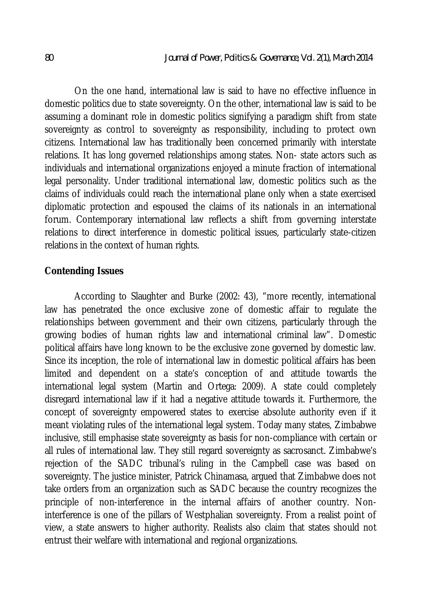On the one hand, international law is said to have no effective influence in domestic politics due to state sovereignty. On the other, international law is said to be assuming a dominant role in domestic politics signifying a paradigm shift from state sovereignty as control to sovereignty as responsibility, including to protect own citizens. International law has traditionally been concerned primarily with interstate relations. It has long governed relationships among states. Non- state actors such as individuals and international organizations enjoyed a minute fraction of international legal personality. Under traditional international law, domestic politics such as the claims of individuals could reach the international plane only when a state exercised diplomatic protection and espoused the claims of its nationals in an international forum. Contemporary international law reflects a shift from governing interstate relations to direct interference in domestic political issues, particularly state-citizen relations in the context of human rights.

## **Contending Issues**

According to Slaughter and Burke (2002: 43), "more recently, international law has penetrated the once exclusive zone of domestic affair to regulate the relationships between government and their own citizens, particularly through the growing bodies of human rights law and international criminal law". Domestic political affairs have long known to be the exclusive zone governed by domestic law. Since its inception, the role of international law in domestic political affairs has been limited and dependent on a state's conception of and attitude towards the international legal system (Martin and Ortega: 2009). A state could completely disregard international law if it had a negative attitude towards it. Furthermore, the concept of sovereignty empowered states to exercise absolute authority even if it meant violating rules of the international legal system. Today many states, Zimbabwe inclusive, still emphasise state sovereignty as basis for non-compliance with certain or all rules of international law. They still regard sovereignty as sacrosanct. Zimbabwe's rejection of the SADC tribunal's ruling in the Campbell case was based on sovereignty. The justice minister, Patrick Chinamasa, argued that Zimbabwe does not take orders from an organization such as SADC because the country recognizes the principle of non-interference in the internal affairs of another country. Noninterference is one of the pillars of Westphalian sovereignty. From a realist point of view, a state answers to higher authority. Realists also claim that states should not entrust their welfare with international and regional organizations.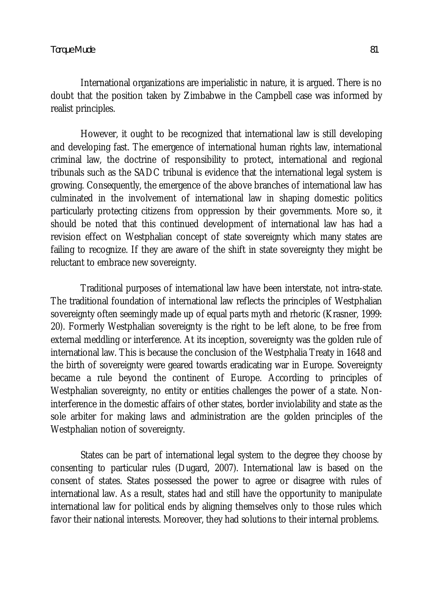International organizations are imperialistic in nature, it is argued. There is no doubt that the position taken by Zimbabwe in the Campbell case was informed by realist principles.

However, it ought to be recognized that international law is still developing and developing fast. The emergence of international human rights law, international criminal law, the doctrine of responsibility to protect, international and regional tribunals such as the SADC tribunal is evidence that the international legal system is growing. Consequently, the emergence of the above branches of international law has culminated in the involvement of international law in shaping domestic politics particularly protecting citizens from oppression by their governments. More so, it should be noted that this continued development of international law has had a revision effect on Westphalian concept of state sovereignty which many states are failing to recognize. If they are aware of the shift in state sovereignty they might be reluctant to embrace new sovereignty.

Traditional purposes of international law have been interstate, not intra-state. The traditional foundation of international law reflects the principles of Westphalian sovereignty often seemingly made up of equal parts myth and rhetoric (Krasner, 1999: 20). Formerly Westphalian sovereignty is the right to be left alone, to be free from external meddling or interference. At its inception, sovereignty was the golden rule of international law. This is because the conclusion of the Westphalia Treaty in 1648 and the birth of sovereignty were geared towards eradicating war in Europe. Sovereignty became a rule beyond the continent of Europe. According to principles of Westphalian sovereignty, no entity or entities challenges the power of a state. Noninterference in the domestic affairs of other states, border inviolability and state as the sole arbiter for making laws and administration are the golden principles of the Westphalian notion of sovereignty.

States can be part of international legal system to the degree they choose by consenting to particular rules (Dugard, 2007). International law is based on the consent of states. States possessed the power to agree or disagree with rules of international law. As a result, states had and still have the opportunity to manipulate international law for political ends by aligning themselves only to those rules which favor their national interests. Moreover, they had solutions to their internal problems.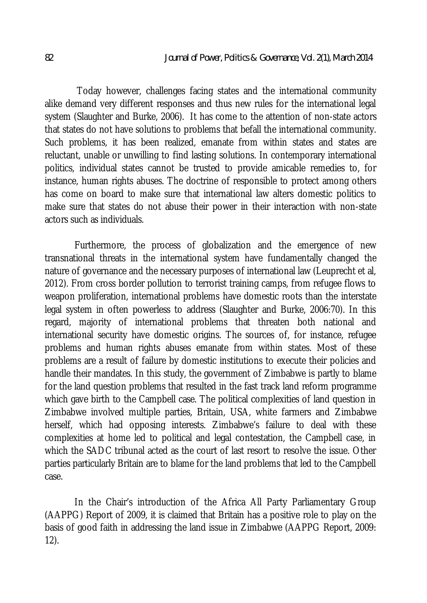Today however, challenges facing states and the international community alike demand very different responses and thus new rules for the international legal system (Slaughter and Burke, 2006). It has come to the attention of non-state actors that states do not have solutions to problems that befall the international community. Such problems, it has been realized, emanate from within states and states are reluctant, unable or unwilling to find lasting solutions. In contemporary international politics, individual states cannot be trusted to provide amicable remedies to, for instance, human rights abuses. The doctrine of responsible to protect among others has come on board to make sure that international law alters domestic politics to make sure that states do not abuse their power in their interaction with non-state actors such as individuals.

Furthermore, the process of globalization and the emergence of new transnational threats in the international system have fundamentally changed the nature of governance and the necessary purposes of international law (Leuprecht et al, 2012). From cross border pollution to terrorist training camps, from refugee flows to weapon proliferation, international problems have domestic roots than the interstate legal system in often powerless to address (Slaughter and Burke, 2006:70). In this regard, majority of international problems that threaten both national and international security have domestic origins. The sources of, for instance, refugee problems and human rights abuses emanate from within states. Most of these problems are a result of failure by domestic institutions to execute their policies and handle their mandates. In this study, the government of Zimbabwe is partly to blame for the land question problems that resulted in the fast track land reform programme which gave birth to the Campbell case. The political complexities of land question in Zimbabwe involved multiple parties, Britain, USA, white farmers and Zimbabwe herself, which had opposing interests. Zimbabwe's failure to deal with these complexities at home led to political and legal contestation, the Campbell case, in which the SADC tribunal acted as the court of last resort to resolve the issue. Other parties particularly Britain are to blame for the land problems that led to the Campbell case.

In the Chair's introduction of the Africa All Party Parliamentary Group (AAPPG) Report of 2009, it is claimed that Britain has a positive role to play on the basis of good faith in addressing the land issue in Zimbabwe (AAPPG Report, 2009: 12).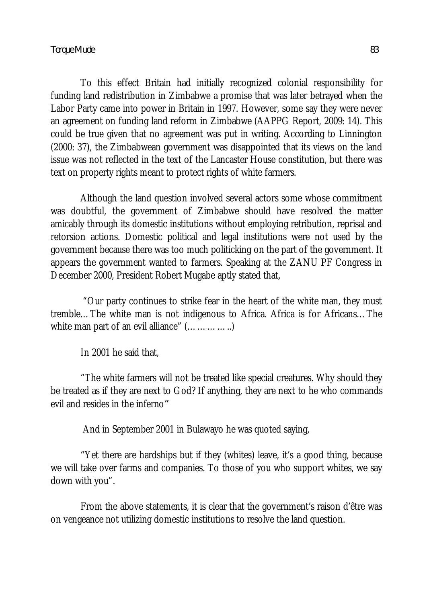To this effect Britain had initially recognized colonial responsibility for funding land redistribution in Zimbabwe a promise that was later betrayed when the Labor Party came into power in Britain in 1997. However, some say they were never an agreement on funding land reform in Zimbabwe (AAPPG Report, 2009: 14). This could be true given that no agreement was put in writing. According to Linnington (2000: 37), the Zimbabwean government was disappointed that its views on the land issue was not reflected in the text of the Lancaster House constitution, but there was text on property rights meant to protect rights of white farmers.

Although the land question involved several actors some whose commitment was doubtful, the government of Zimbabwe should have resolved the matter amicably through its domestic institutions without employing retribution, reprisal and retorsion actions. Domestic political and legal institutions were not used by the government because there was too much politicking on the part of the government. It appears the government wanted to farmers. Speaking at the ZANU PF Congress in December 2000, President Robert Mugabe aptly stated that,

"Our party continues to strike fear in the heart of the white man, they must tremble…The white man is not indigenous to Africa. Africa is for Africans…The white man part of an evil alliance" (...............)

In 2001 he said that,

"The white farmers will not be treated like special creatures. Why should they be treated as if they are next to God? If anything, they are next to he who commands evil and resides in the inferno*"*

And in September 2001 in Bulawayo he was quoted saying,

"Yet there are hardships but if they (whites) leave, it's a good thing, because we will take over farms and companies. To those of you who support whites, we say down with you".

From the above statements, it is clear that the government's raison d'être was on vengeance not utilizing domestic institutions to resolve the land question.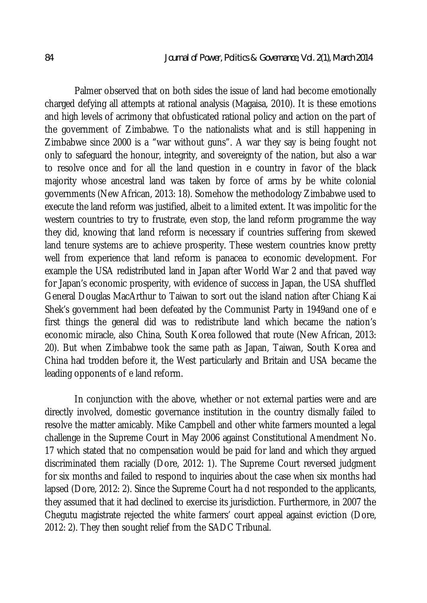Palmer observed that on both sides the issue of land had become emotionally charged defying all attempts at rational analysis (Magaisa, 2010). It is these emotions and high levels of acrimony that obfusticated rational policy and action on the part of the government of Zimbabwe. To the nationalists what and is still happening in Zimbabwe since 2000 is a "war without guns". A war they say is being fought not only to safeguard the honour, integrity, and sovereignty of the nation, but also a war to resolve once and for all the land question in e country in favor of the black majority whose ancestral land was taken by force of arms by be white colonial governments (New African, 2013: 18). Somehow the methodology Zimbabwe used to execute the land reform was justified, albeit to a limited extent. It was impolitic for the western countries to try to frustrate, even stop, the land reform programme the way they did, knowing that land reform is necessary if countries suffering from skewed land tenure systems are to achieve prosperity. These western countries know pretty well from experience that land reform is panacea to economic development. For example the USA redistributed land in Japan after World War 2 and that paved way for Japan's economic prosperity, with evidence of success in Japan, the USA shuffled General Douglas MacArthur to Taiwan to sort out the island nation after Chiang Kai Shek's government had been defeated by the Communist Party in 1949and one of e first things the general did was to redistribute land which became the nation's economic miracle, also China, South Korea followed that route (New African, 2013: 20). But when Zimbabwe took the same path as Japan, Taiwan, South Korea and China had trodden before it, the West particularly and Britain and USA became the leading opponents of e land reform.

In conjunction with the above, whether or not external parties were and are directly involved, domestic governance institution in the country dismally failed to resolve the matter amicably. Mike Campbell and other white farmers mounted a legal challenge in the Supreme Court in May 2006 against Constitutional Amendment No. 17 which stated that no compensation would be paid for land and which they argued discriminated them racially (Dore, 2012: 1). The Supreme Court reversed judgment for six months and failed to respond to inquiries about the case when six months had lapsed (Dore, 2012: 2). Since the Supreme Court ha d not responded to the applicants, they assumed that it had declined to exercise its jurisdiction. Furthermore, in 2007 the Chegutu magistrate rejected the white farmers' court appeal against eviction (Dore, 2012: 2). They then sought relief from the SADC Tribunal.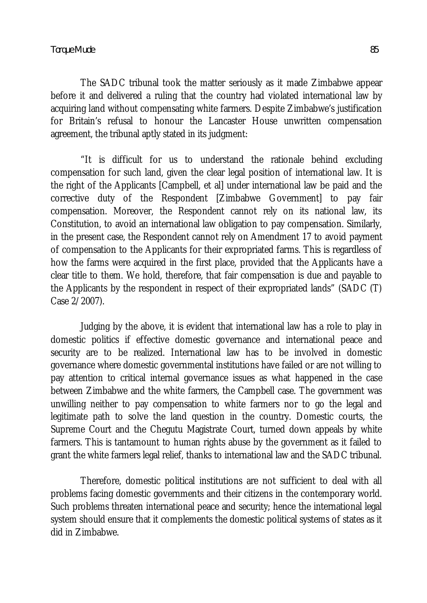The SADC tribunal took the matter seriously as it made Zimbabwe appear before it and delivered a ruling that the country had violated international law by acquiring land without compensating white farmers. Despite Zimbabwe's justification for Britain's refusal to honour the Lancaster House unwritten compensation agreement, the tribunal aptly stated in its judgment:

"It is difficult for us to understand the rationale behind excluding compensation for such land, given the clear legal position of international law. It is the right of the Applicants [Campbell, et al] under international law be paid and the corrective duty of the Respondent [Zimbabwe Government] to pay fair compensation. Moreover, the Respondent cannot rely on its national law, its Constitution, to avoid an international law obligation to pay compensation. Similarly, in the present case, the Respondent cannot rely on Amendment 17 to avoid payment of compensation to the Applicants for their expropriated farms. This is regardless of how the farms were acquired in the first place, provided that the Applicants have a clear title to them. We hold, therefore, that fair compensation is due and payable to the Applicants by the respondent in respect of their expropriated lands" (SADC (T) Case 2/2007).

Judging by the above, it is evident that international law has a role to play in domestic politics if effective domestic governance and international peace and security are to be realized. International law has to be involved in domestic governance where domestic governmental institutions have failed or are not willing to pay attention to critical internal governance issues as what happened in the case between Zimbabwe and the white farmers, the Campbell case. The government was unwilling neither to pay compensation to white farmers nor to go the legal and legitimate path to solve the land question in the country. Domestic courts, the Supreme Court and the Chegutu Magistrate Court, turned down appeals by white farmers. This is tantamount to human rights abuse by the government as it failed to grant the white farmers legal relief, thanks to international law and the SADC tribunal.

Therefore, domestic political institutions are not sufficient to deal with all problems facing domestic governments and their citizens in the contemporary world. Such problems threaten international peace and security; hence the international legal system should ensure that it complements the domestic political systems of states as it did in Zimbabwe.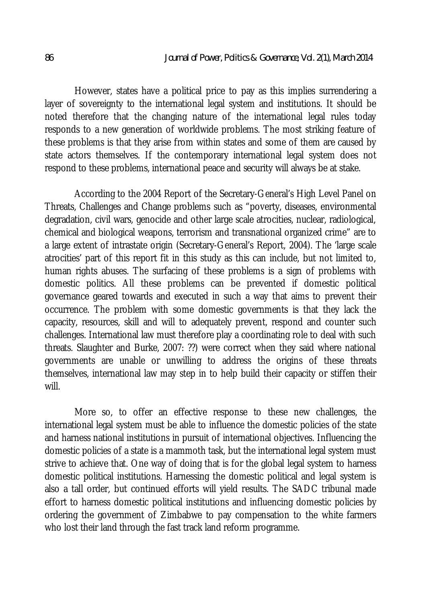However, states have a political price to pay as this implies surrendering a layer of sovereignty to the international legal system and institutions. It should be noted therefore that the changing nature of the international legal rules today responds to a new generation of worldwide problems. The most striking feature of these problems is that they arise from within states and some of them are caused by state actors themselves. If the contemporary international legal system does not respond to these problems, international peace and security will always be at stake.

According to the 2004 Report of the Secretary-General's High Level Panel on Threats, Challenges and Change problems such as "poverty, diseases, environmental degradation, civil wars, genocide and other large scale atrocities, nuclear, radiological, chemical and biological weapons, terrorism and transnational organized crime" are to a large extent of intrastate origin (Secretary-General's Report, 2004). The 'large scale atrocities' part of this report fit in this study as this can include, but not limited to, human rights abuses. The surfacing of these problems is a sign of problems with domestic politics. All these problems can be prevented if domestic political governance geared towards and executed in such a way that aims to prevent their occurrence. The problem with some domestic governments is that they lack the capacity, resources, skill and will to adequately prevent, respond and counter such challenges. International law must therefore play a coordinating role to deal with such threats. Slaughter and Burke, 2007: ??) were correct when they said where national governments are unable or unwilling to address the origins of these threats themselves, international law may step in to help build their capacity or stiffen their will.

More so, to offer an effective response to these new challenges, the international legal system must be able to influence the domestic policies of the state and harness national institutions in pursuit of international objectives. Influencing the domestic policies of a state is a mammoth task, but the international legal system must strive to achieve that. One way of doing that is for the global legal system to harness domestic political institutions. Harnessing the domestic political and legal system is also a tall order, but continued efforts will yield results. The SADC tribunal made effort to harness domestic political institutions and influencing domestic policies by ordering the government of Zimbabwe to pay compensation to the white farmers who lost their land through the fast track land reform programme.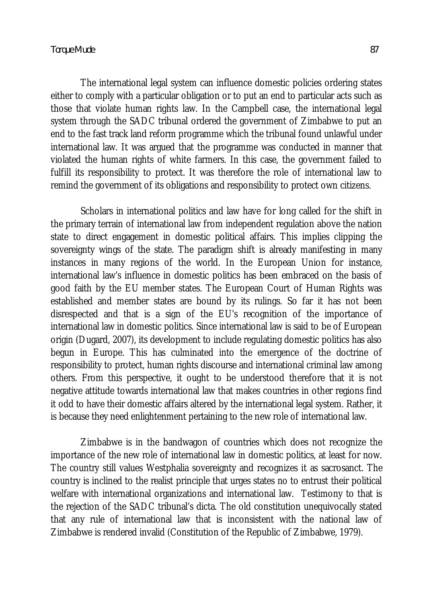The international legal system can influence domestic policies ordering states either to comply with a particular obligation or to put an end to particular acts such as those that violate human rights law. In the Campbell case, the international legal system through the SADC tribunal ordered the government of Zimbabwe to put an end to the fast track land reform programme which the tribunal found unlawful under international law. It was argued that the programme was conducted in manner that violated the human rights of white farmers. In this case, the government failed to fulfill its responsibility to protect. It was therefore the role of international law to remind the government of its obligations and responsibility to protect own citizens.

Scholars in international politics and law have for long called for the shift in the primary terrain of international law from independent regulation above the nation state to direct engagement in domestic political affairs. This implies clipping the sovereignty wings of the state. The paradigm shift is already manifesting in many instances in many regions of the world. In the European Union for instance, international law's influence in domestic politics has been embraced on the basis of good faith by the EU member states. The European Court of Human Rights was established and member states are bound by its rulings. So far it has not been disrespected and that is a sign of the EU's recognition of the importance of international law in domestic politics. Since international law is said to be of European origin (Dugard, 2007), its development to include regulating domestic politics has also begun in Europe. This has culminated into the emergence of the doctrine of responsibility to protect, human rights discourse and international criminal law among others. From this perspective, it ought to be understood therefore that it is not negative attitude towards international law that makes countries in other regions find it odd to have their domestic affairs altered by the international legal system. Rather, it is because they need enlightenment pertaining to the new role of international law.

Zimbabwe is in the bandwagon of countries which does not recognize the importance of the new role of international law in domestic politics, at least for now. The country still values Westphalia sovereignty and recognizes it as sacrosanct. The country is inclined to the realist principle that urges states no to entrust their political welfare with international organizations and international law. Testimony to that is the rejection of the SADC tribunal's dicta. The old constitution unequivocally stated that any rule of international law that is inconsistent with the national law of Zimbabwe is rendered invalid (Constitution of the Republic of Zimbabwe, 1979).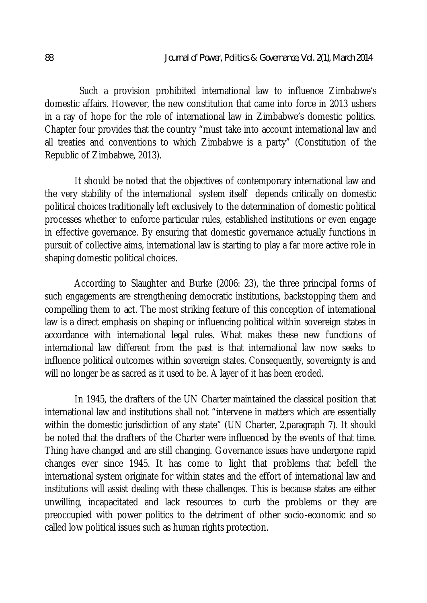Such a provision prohibited international law to influence Zimbabwe's domestic affairs. However, the new constitution that came into force in 2013 ushers in a ray of hope for the role of international law in Zimbabwe's domestic politics. Chapter four provides that the country "must take into account international law and all treaties and conventions to which Zimbabwe is a party" (Constitution of the Republic of Zimbabwe, 2013).

It should be noted that the objectives of contemporary international law and the very stability of the international system itself depends critically on domestic political choices traditionally left exclusively to the determination of domestic political processes whether to enforce particular rules, established institutions or even engage in effective governance. By ensuring that domestic governance actually functions in pursuit of collective aims, international law is starting to play a far more active role in shaping domestic political choices.

According to Slaughter and Burke (2006: 23), the three principal forms of such engagements are strengthening democratic institutions, backstopping them and compelling them to act. The most striking feature of this conception of international law is a direct emphasis on shaping or influencing political within sovereign states in accordance with international legal rules. What makes these new functions of international law different from the past is that international law now seeks to influence political outcomes within sovereign states. Consequently, sovereignty is and will no longer be as sacred as it used to be. A layer of it has been eroded.

In 1945, the drafters of the UN Charter maintained the classical position that international law and institutions shall not "intervene in matters which are essentially within the domestic jurisdiction of any state" (UN Charter, 2, paragraph 7). It should be noted that the drafters of the Charter were influenced by the events of that time. Thing have changed and are still changing. Governance issues have undergone rapid changes ever since 1945. It has come to light that problems that befell the international system originate for within states and the effort of international law and institutions will assist dealing with these challenges. This is because states are either unwilling, incapacitated and lack resources to curb the problems or they are preoccupied with power politics to the detriment of other socio-economic and so called low political issues such as human rights protection.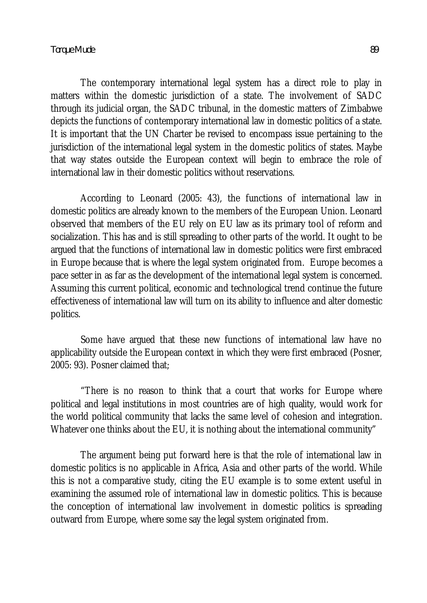The contemporary international legal system has a direct role to play in matters within the domestic jurisdiction of a state. The involvement of SADC through its judicial organ, the SADC tribunal, in the domestic matters of Zimbabwe depicts the functions of contemporary international law in domestic politics of a state. It is important that the UN Charter be revised to encompass issue pertaining to the jurisdiction of the international legal system in the domestic politics of states. Maybe that way states outside the European context will begin to embrace the role of international law in their domestic politics without reservations.

According to Leonard (2005: 43), the functions of international law in domestic politics are already known to the members of the European Union. Leonard observed that members of the EU rely on EU law as its primary tool of reform and socialization. This has and is still spreading to other parts of the world. It ought to be argued that the functions of international law in domestic politics were first embraced in Europe because that is where the legal system originated from. Europe becomes a pace setter in as far as the development of the international legal system is concerned. Assuming this current political, economic and technological trend continue the future effectiveness of international law will turn on its ability to influence and alter domestic politics.

Some have argued that these new functions of international law have no applicability outside the European context in which they were first embraced (Posner, 2005: 93). Posner claimed that;

"There is no reason to think that a court that works for Europe where political and legal institutions in most countries are of high quality, would work for the world political community that lacks the same level of cohesion and integration. Whatever one thinks about the EU, it is nothing about the international community"

The argument being put forward here is that the role of international law in domestic politics is no applicable in Africa, Asia and other parts of the world. While this is not a comparative study, citing the EU example is to some extent useful in examining the assumed role of international law in domestic politics. This is because the conception of international law involvement in domestic politics is spreading outward from Europe, where some say the legal system originated from.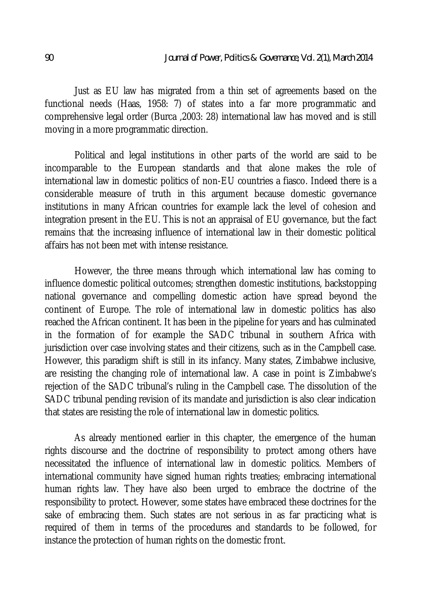Just as EU law has migrated from a thin set of agreements based on the functional needs (Haas, 1958: 7) of states into a far more programmatic and comprehensive legal order (Burca ,2003: 28) international law has moved and is still moving in a more programmatic direction.

Political and legal institutions in other parts of the world are said to be incomparable to the European standards and that alone makes the role of international law in domestic politics of non-EU countries a fiasco. Indeed there is a considerable measure of truth in this argument because domestic governance institutions in many African countries for example lack the level of cohesion and integration present in the EU. This is not an appraisal of EU governance, but the fact remains that the increasing influence of international law in their domestic political affairs has not been met with intense resistance.

However, the three means through which international law has coming to influence domestic political outcomes; strengthen domestic institutions, backstopping national governance and compelling domestic action have spread beyond the continent of Europe. The role of international law in domestic politics has also reached the African continent. It has been in the pipeline for years and has culminated in the formation of for example the SADC tribunal in southern Africa with jurisdiction over case involving states and their citizens, such as in the Campbell case. However, this paradigm shift is still in its infancy. Many states, Zimbabwe inclusive, are resisting the changing role of international law. A case in point is Zimbabwe's rejection of the SADC tribunal's ruling in the Campbell case. The dissolution of the SADC tribunal pending revision of its mandate and jurisdiction is also clear indication that states are resisting the role of international law in domestic politics.

As already mentioned earlier in this chapter, the emergence of the human rights discourse and the doctrine of responsibility to protect among others have necessitated the influence of international law in domestic politics. Members of international community have signed human rights treaties; embracing international human rights law. They have also been urged to embrace the doctrine of the responsibility to protect. However, some states have embraced these doctrines for the sake of embracing them. Such states are not serious in as far practicing what is required of them in terms of the procedures and standards to be followed, for instance the protection of human rights on the domestic front.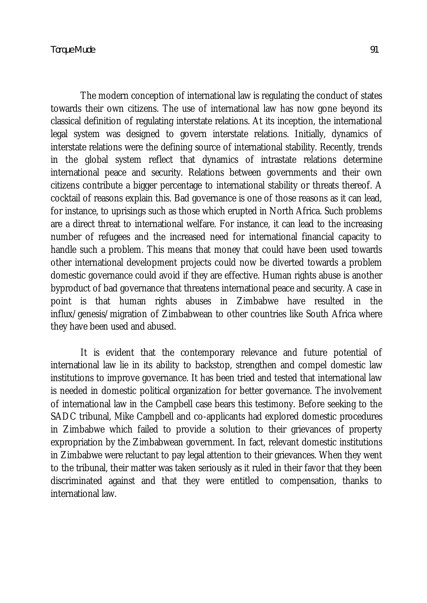The modern conception of international law is regulating the conduct of states towards their own citizens. The use of international law has now gone beyond its classical definition of regulating interstate relations. At its inception, the international legal system was designed to govern interstate relations. Initially, dynamics of interstate relations were the defining source of international stability. Recently, trends in the global system reflect that dynamics of intrastate relations determine international peace and security. Relations between governments and their own citizens contribute a bigger percentage to international stability or threats thereof. A cocktail of reasons explain this. Bad governance is one of those reasons as it can lead, for instance, to uprisings such as those which erupted in North Africa. Such problems are a direct threat to international welfare. For instance, it can lead to the increasing number of refugees and the increased need for international financial capacity to handle such a problem. This means that money that could have been used towards other international development projects could now be diverted towards a problem domestic governance could avoid if they are effective. Human rights abuse is another byproduct of bad governance that threatens international peace and security. A case in point is that human rights abuses in Zimbabwe have resulted in the influx/genesis/migration of Zimbabwean to other countries like South Africa where they have been used and abused.

It is evident that the contemporary relevance and future potential of international law lie in its ability to backstop, strengthen and compel domestic law institutions to improve governance. It has been tried and tested that international law is needed in domestic political organization for better governance. The involvement of international law in the Campbell case bears this testimony. Before seeking to the SADC tribunal, Mike Campbell and co-applicants had explored domestic procedures in Zimbabwe which failed to provide a solution to their grievances of property expropriation by the Zimbabwean government. In fact, relevant domestic institutions in Zimbabwe were reluctant to pay legal attention to their grievances. When they went to the tribunal, their matter was taken seriously as it ruled in their favor that they been discriminated against and that they were entitled to compensation, thanks to international law.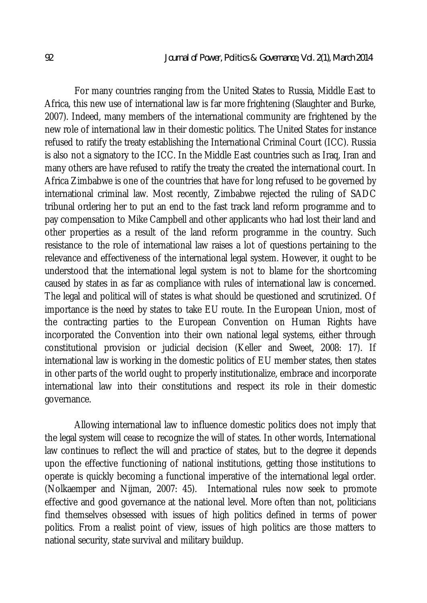For many countries ranging from the United States to Russia, Middle East to Africa, this new use of international law is far more frightening (Slaughter and Burke, 2007). Indeed, many members of the international community are frightened by the new role of international law in their domestic politics. The United States for instance refused to ratify the treaty establishing the International Criminal Court (ICC). Russia is also not a signatory to the ICC. In the Middle East countries such as Iraq, Iran and many others are have refused to ratify the treaty the created the international court. In Africa Zimbabwe is one of the countries that have for long refused to be governed by international criminal law. Most recently, Zimbabwe rejected the ruling of SADC tribunal ordering her to put an end to the fast track land reform programme and to pay compensation to Mike Campbell and other applicants who had lost their land and other properties as a result of the land reform programme in the country. Such resistance to the role of international law raises a lot of questions pertaining to the relevance and effectiveness of the international legal system. However, it ought to be understood that the international legal system is not to blame for the shortcoming caused by states in as far as compliance with rules of international law is concerned. The legal and political will of states is what should be questioned and scrutinized. Of importance is the need by states to take EU route. In the European Union, most of the contracting parties to the European Convention on Human Rights have incorporated the Convention into their own national legal systems, either through constitutional provision or judicial decision (Keller and Sweet, 2008: 17). If international law is working in the domestic politics of EU member states, then states in other parts of the world ought to properly institutionalize, embrace and incorporate international law into their constitutions and respect its role in their domestic governance.

Allowing international law to influence domestic politics does not imply that the legal system will cease to recognize the will of states. In other words, International law continues to reflect the will and practice of states, but to the degree it depends upon the effective functioning of national institutions, getting those institutions to operate is quickly becoming a functional imperative of the international legal order. (Nolkaemper and Nijman, 2007: 45). International rules now seek to promote effective and good governance at the national level. More often than not, politicians find themselves obsessed with issues of high politics defined in terms of power politics. From a realist point of view, issues of high politics are those matters to national security, state survival and military buildup.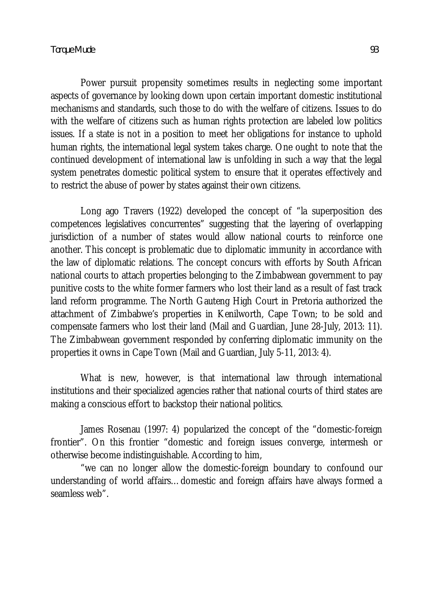Power pursuit propensity sometimes results in neglecting some important aspects of governance by looking down upon certain important domestic institutional mechanisms and standards, such those to do with the welfare of citizens. Issues to do with the welfare of citizens such as human rights protection are labeled low politics issues. If a state is not in a position to meet her obligations for instance to uphold human rights, the international legal system takes charge. One ought to note that the continued development of international law is unfolding in such a way that the legal system penetrates domestic political system to ensure that it operates effectively and to restrict the abuse of power by states against their own citizens.

Long ago Travers (1922) developed the concept of "la superposition des competences legislatives concurrentes" suggesting that the layering of overlapping jurisdiction of a number of states would allow national courts to reinforce one another. This concept is problematic due to diplomatic immunity in accordance with the law of diplomatic relations. The concept concurs with efforts by South African national courts to attach properties belonging to the Zimbabwean government to pay punitive costs to the white former farmers who lost their land as a result of fast track land reform programme. The North Gauteng High Court in Pretoria authorized the attachment of Zimbabwe's properties in Kenilworth, Cape Town; to be sold and compensate farmers who lost their land (Mail and Guardian, June 28-July, 2013: 11). The Zimbabwean government responded by conferring diplomatic immunity on the properties it owns in Cape Town (Mail and Guardian, July 5-11, 2013: 4).

What is new, however, is that international law through international institutions and their specialized agencies rather that national courts of third states are making a conscious effort to backstop their national politics.

James Rosenau (1997: 4) popularized the concept of the "domestic-foreign frontier". On this frontier "domestic and foreign issues converge, intermesh or otherwise become indistinguishable. According to him,

"we can no longer allow the domestic-foreign boundary to confound our understanding of world affairs…domestic and foreign affairs have always formed a seamless web".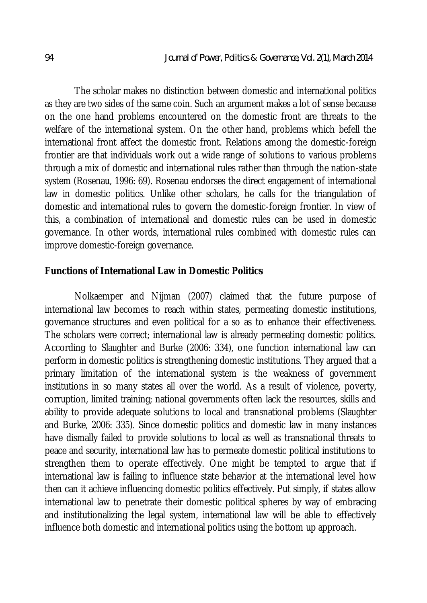The scholar makes no distinction between domestic and international politics as they are two sides of the same coin. Such an argument makes a lot of sense because on the one hand problems encountered on the domestic front are threats to the welfare of the international system. On the other hand, problems which befell the international front affect the domestic front. Relations among the domestic-foreign frontier are that individuals work out a wide range of solutions to various problems through a mix of domestic and international rules rather than through the nation-state system (Rosenau, 1996: 69). Rosenau endorses the direct engagement of international law in domestic politics. Unlike other scholars, he calls for the triangulation of domestic and international rules to govern the domestic-foreign frontier. In view of this, a combination of international and domestic rules can be used in domestic governance. In other words, international rules combined with domestic rules can improve domestic-foreign governance.

#### **Functions of International Law in Domestic Politics**

Nolkaemper and Nijman (2007) claimed that the future purpose of international law becomes to reach within states, permeating domestic institutions, governance structures and even political for a so as to enhance their effectiveness. The scholars were correct; international law is already permeating domestic politics. According to Slaughter and Burke (2006: 334), one function international law can perform in domestic politics is strengthening domestic institutions. They argued that a primary limitation of the international system is the weakness of government institutions in so many states all over the world. As a result of violence, poverty, corruption, limited training; national governments often lack the resources, skills and ability to provide adequate solutions to local and transnational problems (Slaughter and Burke, 2006: 335). Since domestic politics and domestic law in many instances have dismally failed to provide solutions to local as well as transnational threats to peace and security, international law has to permeate domestic political institutions to strengthen them to operate effectively. One might be tempted to argue that if international law is failing to influence state behavior at the international level how then can it achieve influencing domestic politics effectively. Put simply, if states allow international law to penetrate their domestic political spheres by way of embracing and institutionalizing the legal system, international law will be able to effectively influence both domestic and international politics using the bottom up approach.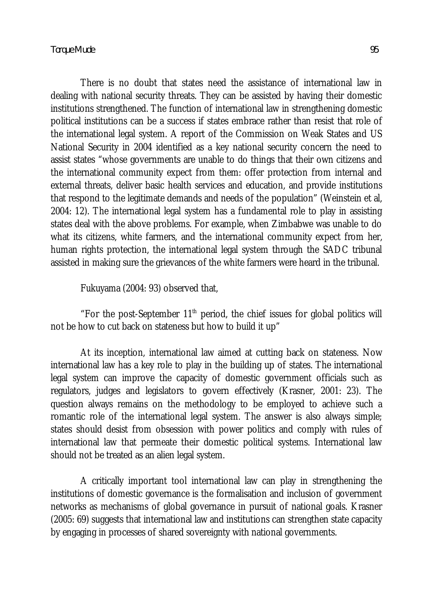There is no doubt that states need the assistance of international law in dealing with national security threats. They can be assisted by having their domestic institutions strengthened. The function of international law in strengthening domestic political institutions can be a success if states embrace rather than resist that role of the international legal system. A report of the Commission on Weak States and US National Security in 2004 identified as a key national security concern the need to assist states "whose governments are unable to do things that their own citizens and the international community expect from them: offer protection from internal and external threats, deliver basic health services and education, and provide institutions that respond to the legitimate demands and needs of the population" (Weinstein et al, 2004: 12). The international legal system has a fundamental role to play in assisting states deal with the above problems. For example, when Zimbabwe was unable to do what its citizens, white farmers, and the international community expect from her, human rights protection, the international legal system through the SADC tribunal

Fukuyama (2004: 93) observed that,

"For the post-September  $11<sup>th</sup>$  period, the chief issues for global politics will not be how to cut back on stateness but how to build it up"

assisted in making sure the grievances of the white farmers were heard in the tribunal.

At its inception, international law aimed at cutting back on stateness. Now international law has a key role to play in the building up of states. The international legal system can improve the capacity of domestic government officials such as regulators, judges and legislators to govern effectively (Krasner, 2001: 23). The question always remains on the methodology to be employed to achieve such a romantic role of the international legal system. The answer is also always simple; states should desist from obsession with power politics and comply with rules of international law that permeate their domestic political systems. International law should not be treated as an alien legal system.

A critically important tool international law can play in strengthening the institutions of domestic governance is the formalisation and inclusion of government networks as mechanisms of global governance in pursuit of national goals. Krasner (2005: 69) suggests that international law and institutions can strengthen state capacity by engaging in processes of shared sovereignty with national governments.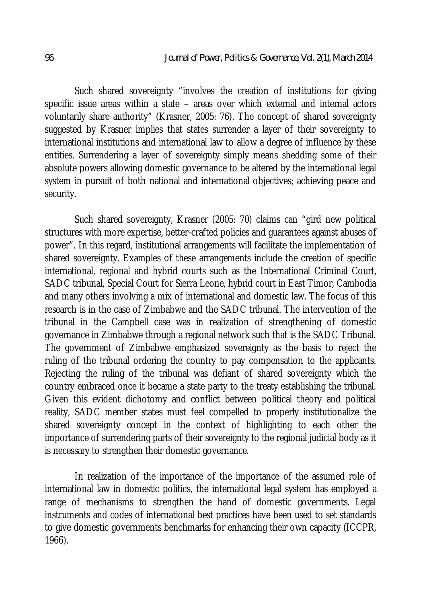Such shared sovereignty "involves the creation of institutions for giving specific issue areas within a state – areas over which external and internal actors voluntarily share authority" (Krasner, 2005: 76). The concept of shared sovereignty suggested by Krasner implies that states surrender a layer of their sovereignty to international institutions and international law to allow a degree of influence by these entities. Surrendering a layer of sovereignty simply means shedding some of their absolute powers allowing domestic governance to be altered by the international legal system in pursuit of both national and international objectives; achieving peace and security.

Such shared sovereignty, Krasner (2005: 70) claims can "gird new political structures with more expertise, better-crafted policies and guarantees against abuses of power". In this regard, institutional arrangements will facilitate the implementation of shared sovereignty. Examples of these arrangements include the creation of specific international, regional and hybrid courts such as the International Criminal Court, SADC tribunal, Special Court for Sierra Leone, hybrid court in East Timor, Cambodia and many others involving a mix of international and domestic law. The focus of this research is in the case of Zimbabwe and the SADC tribunal. The intervention of the tribunal in the Campbell case was in realization of strengthening of domestic governance in Zimbabwe through a regional network such that is the SADC Tribunal. The government of Zimbabwe emphasized sovereignty as the basis to reject the ruling of the tribunal ordering the country to pay compensation to the applicants. Rejecting the ruling of the tribunal was defiant of shared sovereignty which the country embraced once it became a state party to the treaty establishing the tribunal. Given this evident dichotomy and conflict between political theory and political reality, SADC member states must feel compelled to properly institutionalize the shared sovereignty concept in the context of highlighting to each other the importance of surrendering parts of their sovereignty to the regional judicial body as it is necessary to strengthen their domestic governance.

In realization of the importance of the importance of the assumed role of international law in domestic politics, the international legal system has employed a range of mechanisms to strengthen the hand of domestic governments. Legal instruments and codes of international best practices have been used to set standards to give domestic governments benchmarks for enhancing their own capacity (ICCPR, 1966).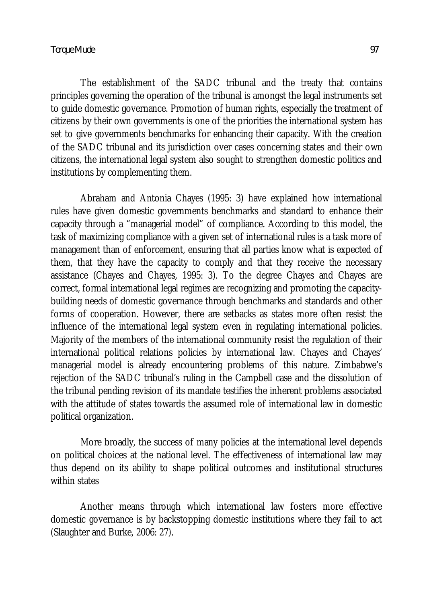The establishment of the SADC tribunal and the treaty that contains principles governing the operation of the tribunal is amongst the legal instruments set to guide domestic governance. Promotion of human rights, especially the treatment of citizens by their own governments is one of the priorities the international system has set to give governments benchmarks for enhancing their capacity. With the creation of the SADC tribunal and its jurisdiction over cases concerning states and their own citizens, the international legal system also sought to strengthen domestic politics and institutions by complementing them.

Abraham and Antonia Chayes (1995: 3) have explained how international rules have given domestic governments benchmarks and standard to enhance their capacity through a "managerial model" of compliance. According to this model, the task of maximizing compliance with a given set of international rules is a task more of management than of enforcement, ensuring that all parties know what is expected of them, that they have the capacity to comply and that they receive the necessary assistance (Chayes and Chayes, 1995: 3). To the degree Chayes and Chayes are correct, formal international legal regimes are recognizing and promoting the capacitybuilding needs of domestic governance through benchmarks and standards and other forms of cooperation. However, there are setbacks as states more often resist the influence of the international legal system even in regulating international policies. Majority of the members of the international community resist the regulation of their international political relations policies by international law. Chayes and Chayes' managerial model is already encountering problems of this nature. Zimbabwe's rejection of the SADC tribunal's ruling in the Campbell case and the dissolution of the tribunal pending revision of its mandate testifies the inherent problems associated with the attitude of states towards the assumed role of international law in domestic political organization.

More broadly, the success of many policies at the international level depends on political choices at the national level. The effectiveness of international law may thus depend on its ability to shape political outcomes and institutional structures within states

Another means through which international law fosters more effective domestic governance is by backstopping domestic institutions where they fail to act (Slaughter and Burke, 2006: 27).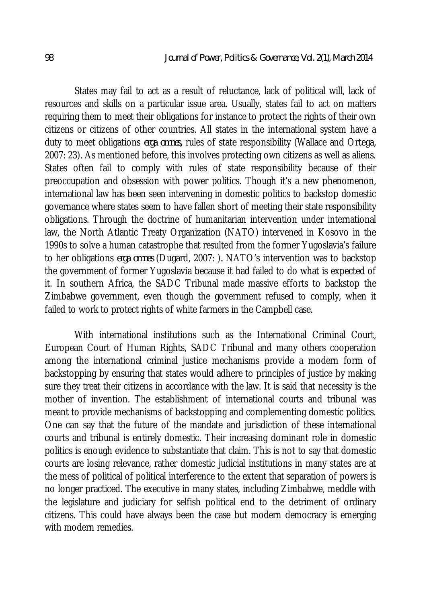States may fail to act as a result of reluctance, lack of political will, lack of resources and skills on a particular issue area. Usually, states fail to act on matters requiring them to meet their obligations for instance to protect the rights of their own citizens or citizens of other countries. All states in the international system have a duty to meet obligations *erga omnes,* rules of state responsibility (Wallace and Ortega, 2007: 23)*.* As mentioned before, this involves protecting own citizens as well as aliens. States often fail to comply with rules of state responsibility because of their preoccupation and obsession with power politics. Though it's a new phenomenon, international law has been seen intervening in domestic politics to backstop domestic governance where states seem to have fallen short of meeting their state responsibility obligations. Through the doctrine of humanitarian intervention under international law, the North Atlantic Treaty Organization (NATO) intervened in Kosovo in the 1990s to solve a human catastrophe that resulted from the former Yugoslavia's failure to her obligations *erga omnes* (Dugard, 2007: )*.* NATO's intervention was to backstop the government of former Yugoslavia because it had failed to do what is expected of it. In southern Africa, the SADC Tribunal made massive efforts to backstop the Zimbabwe government, even though the government refused to comply, when it failed to work to protect rights of white farmers in the Campbell case.

With international institutions such as the International Criminal Court, European Court of Human Rights, SADC Tribunal and many others cooperation among the international criminal justice mechanisms provide a modern form of backstopping by ensuring that states would adhere to principles of justice by making sure they treat their citizens in accordance with the law. It is said that necessity is the mother of invention. The establishment of international courts and tribunal was meant to provide mechanisms of backstopping and complementing domestic politics. One can say that the future of the mandate and jurisdiction of these international courts and tribunal is entirely domestic. Their increasing dominant role in domestic politics is enough evidence to substantiate that claim. This is not to say that domestic courts are losing relevance, rather domestic judicial institutions in many states are at the mess of political of political interference to the extent that separation of powers is no longer practiced. The executive in many states, including Zimbabwe, meddle with the legislature and judiciary for selfish political end to the detriment of ordinary citizens. This could have always been the case but modern democracy is emerging with modern remedies.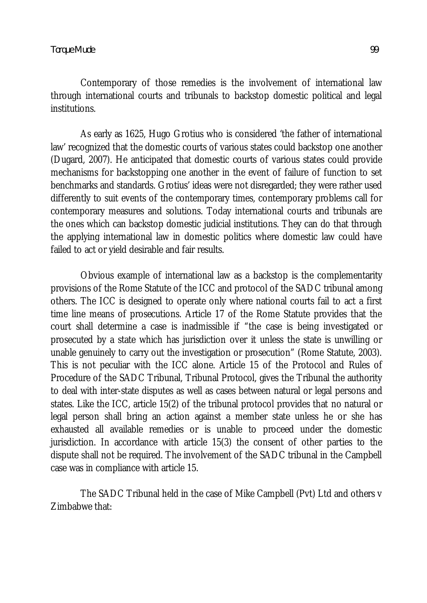Contemporary of those remedies is the involvement of international law through international courts and tribunals to backstop domestic political and legal institutions.

As early as 1625, Hugo Grotius who is considered 'the father of international law' recognized that the domestic courts of various states could backstop one another (Dugard, 2007). He anticipated that domestic courts of various states could provide mechanisms for backstopping one another in the event of failure of function to set benchmarks and standards. Grotius' ideas were not disregarded; they were rather used differently to suit events of the contemporary times, contemporary problems call for contemporary measures and solutions. Today international courts and tribunals are the ones which can backstop domestic judicial institutions. They can do that through the applying international law in domestic politics where domestic law could have failed to act or yield desirable and fair results.

Obvious example of international law as a backstop is the complementarity provisions of the Rome Statute of the ICC and protocol of the SADC tribunal among others. The ICC is designed to operate only where national courts fail to act a first time line means of prosecutions. Article 17 of the Rome Statute provides that the court shall determine a case is inadmissible if "the case is being investigated or prosecuted by a state which has jurisdiction over it unless the state is unwilling or unable genuinely to carry out the investigation or prosecution" (Rome Statute, 2003). This is not peculiar with the ICC alone. Article 15 of the Protocol and Rules of Procedure of the SADC Tribunal, Tribunal Protocol, gives the Tribunal the authority to deal with inter-state disputes as well as cases between natural or legal persons and states. Like the ICC, article 15(2) of the tribunal protocol provides that no natural or legal person shall bring an action against a member state unless he or she has exhausted all available remedies or is unable to proceed under the domestic jurisdiction. In accordance with article 15(3) the consent of other parties to the dispute shall not be required. The involvement of the SADC tribunal in the Campbell case was in compliance with article 15.

The SADC Tribunal held in the case of Mike Campbell (Pvt) Ltd and others v Zimbabwe that: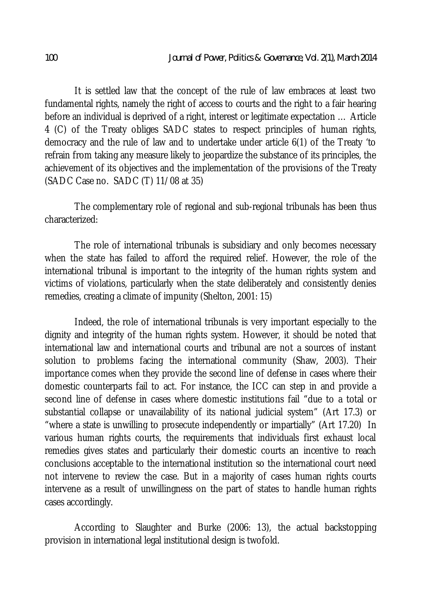It is settled law that the concept of the rule of law embraces at least two fundamental rights, namely the right of access to courts and the right to a fair hearing before an individual is deprived of a right, interest or legitimate expectation … Article 4 (C) of the Treaty obliges SADC states to respect principles of human rights, democracy and the rule of law and to undertake under article 6(1) of the Treaty 'to refrain from taking any measure likely to jeopardize the substance of its principles, the achievement of its objectives and the implementation of the provisions of the Treaty (SADC Case no. SADC (T) 11/08 at 35)

The complementary role of regional and sub-regional tribunals has been thus characterized:

The role of international tribunals is subsidiary and only becomes necessary when the state has failed to afford the required relief. However, the role of the international tribunal is important to the integrity of the human rights system and victims of violations, particularly when the state deliberately and consistently denies remedies, creating a climate of impunity (Shelton, 2001: 15)

Indeed, the role of international tribunals is very important especially to the dignity and integrity of the human rights system. However, it should be noted that international law and international courts and tribunal are not a sources of instant solution to problems facing the international community (Shaw, 2003). Their importance comes when they provide the second line of defense in cases where their domestic counterparts fail to act. For instance, the ICC can step in and provide a second line of defense in cases where domestic institutions fail "due to a total or substantial collapse or unavailability of its national judicial system" (Art 17.3) or "where a state is unwilling to prosecute independently or impartially" (Art 17.20) In various human rights courts, the requirements that individuals first exhaust local remedies gives states and particularly their domestic courts an incentive to reach conclusions acceptable to the international institution so the international court need not intervene to review the case. But in a majority of cases human rights courts intervene as a result of unwillingness on the part of states to handle human rights cases accordingly.

According to Slaughter and Burke (2006: 13), the actual backstopping provision in international legal institutional design is twofold.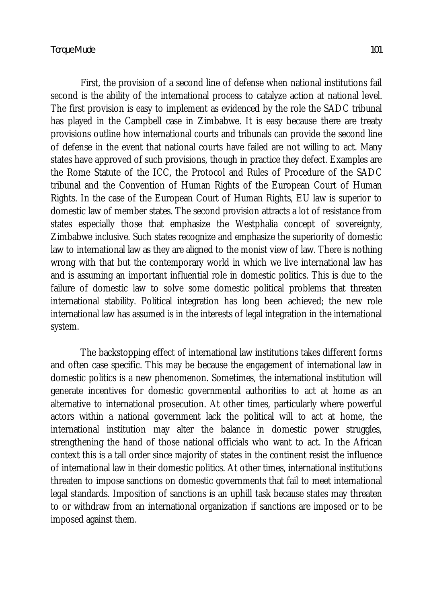First, the provision of a second line of defense when national institutions fail second is the ability of the international process to catalyze action at national level. The first provision is easy to implement as evidenced by the role the SADC tribunal has played in the Campbell case in Zimbabwe. It is easy because there are treaty provisions outline how international courts and tribunals can provide the second line of defense in the event that national courts have failed are not willing to act. Many states have approved of such provisions, though in practice they defect. Examples are the Rome Statute of the ICC, the Protocol and Rules of Procedure of the SADC tribunal and the Convention of Human Rights of the European Court of Human Rights. In the case of the European Court of Human Rights, EU law is superior to domestic law of member states. The second provision attracts a lot of resistance from states especially those that emphasize the Westphalia concept of sovereignty, Zimbabwe inclusive. Such states recognize and emphasize the superiority of domestic law to international law as they are aligned to the monist view of law. There is nothing wrong with that but the contemporary world in which we live international law has and is assuming an important influential role in domestic politics. This is due to the failure of domestic law to solve some domestic political problems that threaten international stability. Political integration has long been achieved; the new role international law has assumed is in the interests of legal integration in the international system.

The backstopping effect of international law institutions takes different forms and often case specific. This may be because the engagement of international law in domestic politics is a new phenomenon. Sometimes, the international institution will generate incentives for domestic governmental authorities to act at home as an alternative to international prosecution. At other times, particularly where powerful actors within a national government lack the political will to act at home, the international institution may alter the balance in domestic power struggles, strengthening the hand of those national officials who want to act. In the African context this is a tall order since majority of states in the continent resist the influence of international law in their domestic politics. At other times, international institutions threaten to impose sanctions on domestic governments that fail to meet international legal standards. Imposition of sanctions is an uphill task because states may threaten to or withdraw from an international organization if sanctions are imposed or to be imposed against them.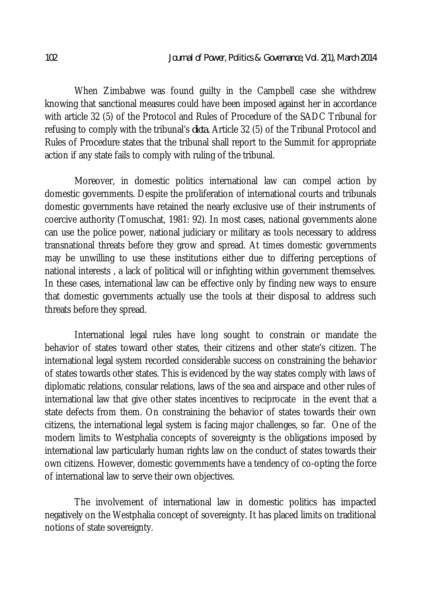When Zimbabwe was found guilty in the Campbell case she withdrew knowing that sanctional measures could have been imposed against her in accordance with article 32 (5) of the Protocol and Rules of Procedure of the SADC Tribunal for refusing to comply with the tribunal's *dicta.* Article 32 (5) of the Tribunal Protocol and Rules of Procedure states that the tribunal shall report to the Summit for appropriate action if any state fails to comply with ruling of the tribunal.

Moreover, in domestic politics international law can compel action by domestic governments. Despite the proliferation of international courts and tribunals domestic governments have retained the nearly exclusive use of their instruments of coercive authority (Tomuschat, 1981: 92). In most cases, national governments alone can use the police power, national judiciary or military as tools necessary to address transnational threats before they grow and spread. At times domestic governments may be unwilling to use these institutions either due to differing perceptions of national interests , a lack of political will or infighting within government themselves. In these cases, international law can be effective only by finding new ways to ensure that domestic governments actually use the tools at their disposal to address such threats before they spread.

International legal rules have long sought to constrain or mandate the behavior of states toward other states, their citizens and other state's citizen. The international legal system recorded considerable success on constraining the behavior of states towards other states. This is evidenced by the way states comply with laws of diplomatic relations, consular relations, laws of the sea and airspace and other rules of international law that give other states incentives to reciprocate in the event that a state defects from them. On constraining the behavior of states towards their own citizens, the international legal system is facing major challenges, so far. One of the modern limits to Westphalia concepts of sovereignty is the obligations imposed by international law particularly human rights law on the conduct of states towards their own citizens. However, domestic governments have a tendency of co-opting the force of international law to serve their own objectives.

The involvement of international law in domestic politics has impacted negatively on the Westphalia concept of sovereignty. It has placed limits on traditional notions of state sovereignty.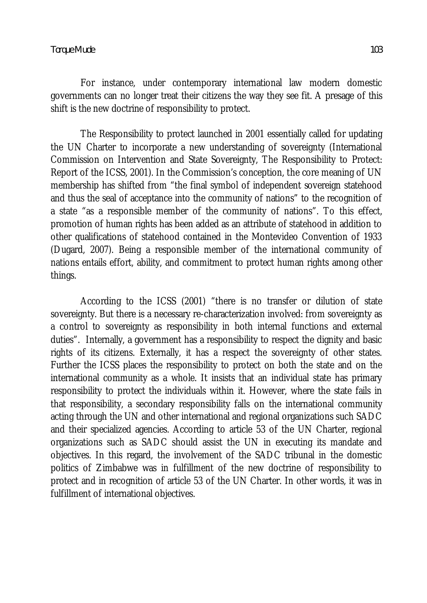For instance, under contemporary international law modern domestic governments can no longer treat their citizens the way they see fit. A presage of this shift is the new doctrine of responsibility to protect.

The Responsibility to protect launched in 2001 essentially called for updating the UN Charter to incorporate a new understanding of sovereignty (International Commission on Intervention and State Sovereignty, The Responsibility to Protect: Report of the ICSS, 2001). In the Commission's conception, the core meaning of UN membership has shifted from "the final symbol of independent sovereign statehood and thus the seal of acceptance into the community of nations" to the recognition of a state "as a responsible member of the community of nations". To this effect, promotion of human rights has been added as an attribute of statehood in addition to other qualifications of statehood contained in the Montevideo Convention of 1933 (Dugard, 2007). Being a responsible member of the international community of nations entails effort, ability, and commitment to protect human rights among other things.

According to the ICSS (2001) "there is no transfer or dilution of state sovereignty. But there is a necessary re-characterization involved: from sovereignty as a control to sovereignty as responsibility in both internal functions and external duties". Internally, a government has a responsibility to respect the dignity and basic rights of its citizens. Externally, it has a respect the sovereignty of other states. Further the ICSS places the responsibility to protect on both the state and on the international community as a whole. It insists that an individual state has primary responsibility to protect the individuals within it. However, where the state fails in that responsibility, a secondary responsibility falls on the international community acting through the UN and other international and regional organizations such SADC and their specialized agencies. According to article 53 of the UN Charter, regional organizations such as SADC should assist the UN in executing its mandate and objectives. In this regard, the involvement of the SADC tribunal in the domestic politics of Zimbabwe was in fulfillment of the new doctrine of responsibility to protect and in recognition of article 53 of the UN Charter. In other words, it was in fulfillment of international objectives.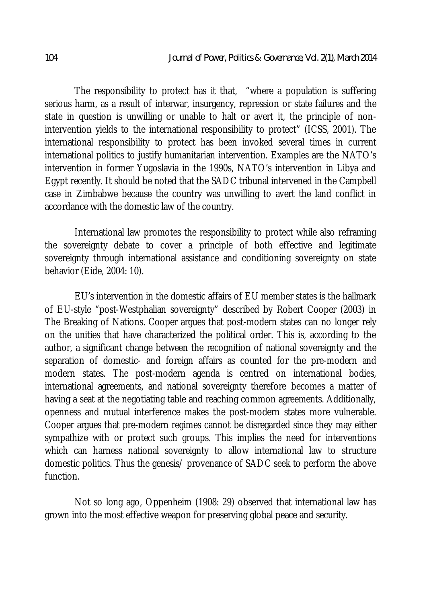The responsibility to protect has it that, "where a population is suffering serious harm, as a result of interwar, insurgency, repression or state failures and the state in question is unwilling or unable to halt or avert it, the principle of nonintervention yields to the international responsibility to protect" (ICSS, 2001). The international responsibility to protect has been invoked several times in current international politics to justify humanitarian intervention. Examples are the NATO's intervention in former Yugoslavia in the 1990s, NATO's intervention in Libya and Egypt recently. It should be noted that the SADC tribunal intervened in the Campbell case in Zimbabwe because the country was unwilling to avert the land conflict in accordance with the domestic law of the country.

International law promotes the responsibility to protect while also reframing the sovereignty debate to cover a principle of both effective and legitimate sovereignty through international assistance and conditioning sovereignty on state behavior (Eide, 2004: 10).

EU's intervention in the domestic affairs of EU member states is the hallmark of EU-style "post-Westphalian sovereignty" described by Robert Cooper (2003) in The Breaking of Nations. Cooper argues that post-modern states can no longer rely on the unities that have characterized the political order. This is, according to the author, a significant change between the recognition of national sovereignty and the separation of domestic- and foreign affairs as counted for the pre-modern and modern states. The post-modern agenda is centred on international bodies, international agreements, and national sovereignty therefore becomes a matter of having a seat at the negotiating table and reaching common agreements. Additionally, openness and mutual interference makes the post-modern states more vulnerable. Cooper argues that pre-modern regimes cannot be disregarded since they may either sympathize with or protect such groups. This implies the need for interventions which can harness national sovereignty to allow international law to structure domestic politics. Thus the genesis/ provenance of SADC seek to perform the above function.

Not so long ago, Oppenheim (1908: 29) observed that international law has grown into the most effective weapon for preserving global peace and security.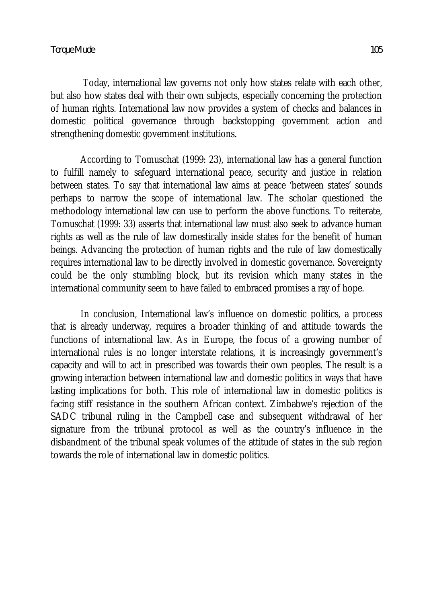Today, international law governs not only how states relate with each other, but also how states deal with their own subjects, especially concerning the protection of human rights. International law now provides a system of checks and balances in domestic political governance through backstopping government action and strengthening domestic government institutions.

According to Tomuschat (1999: 23), international law has a general function to fulfill namely to safeguard international peace, security and justice in relation between states. To say that international law aims at peace 'between states' sounds perhaps to narrow the scope of international law. The scholar questioned the methodology international law can use to perform the above functions. To reiterate, Tomuschat (1999: 33) asserts that international law must also seek to advance human rights as well as the rule of law domestically inside states for the benefit of human beings. Advancing the protection of human rights and the rule of law domestically requires international law to be directly involved in domestic governance. Sovereignty could be the only stumbling block, but its revision which many states in the international community seem to have failed to embraced promises a ray of hope.

In conclusion, International law's influence on domestic politics, a process that is already underway, requires a broader thinking of and attitude towards the functions of international law. As in Europe, the focus of a growing number of international rules is no longer interstate relations, it is increasingly government's capacity and will to act in prescribed was towards their own peoples. The result is a growing interaction between international law and domestic politics in ways that have lasting implications for both. This role of international law in domestic politics is facing stiff resistance in the southern African context. Zimbabwe's rejection of the SADC tribunal ruling in the Campbell case and subsequent withdrawal of her signature from the tribunal protocol as well as the country's influence in the disbandment of the tribunal speak volumes of the attitude of states in the sub region towards the role of international law in domestic politics.